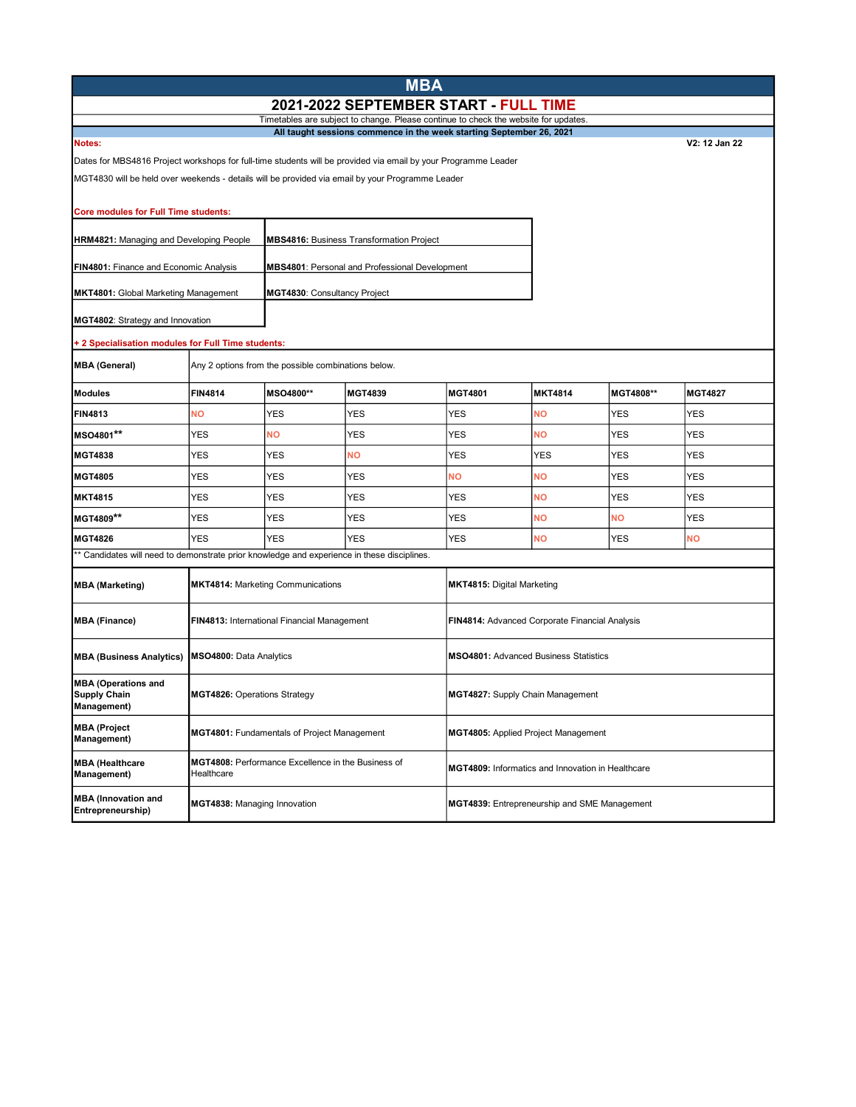| <b>MBA</b>                                                                                                     |                                                                  |            |                                                |                                                   |                |               |                |  |
|----------------------------------------------------------------------------------------------------------------|------------------------------------------------------------------|------------|------------------------------------------------|---------------------------------------------------|----------------|---------------|----------------|--|
| 2021-2022 SEPTEMBER START - FULL TIME                                                                          |                                                                  |            |                                                |                                                   |                |               |                |  |
| Timetables are subject to change. Please continue to check the website for updates.                            |                                                                  |            |                                                |                                                   |                |               |                |  |
| All taught sessions commence in the week starting September 26, 2021<br>Notes:                                 |                                                                  |            |                                                |                                                   |                | V2: 12 Jan 22 |                |  |
| Dates for MBS4816 Project workshops for full-time students will be provided via email by your Programme Leader |                                                                  |            |                                                |                                                   |                |               |                |  |
| MGT4830 will be held over weekends - details will be provided via email by your Programme Leader               |                                                                  |            |                                                |                                                   |                |               |                |  |
| <b>Core modules for Full Time students:</b>                                                                    |                                                                  |            |                                                |                                                   |                |               |                |  |
| HRM4821: Managing and Developing People<br><b>MBS4816: Business Transformation Project</b>                     |                                                                  |            |                                                |                                                   |                |               |                |  |
| FIN4801: Finance and Economic Analysis                                                                         |                                                                  |            | MBS4801: Personal and Professional Development |                                                   |                |               |                |  |
| <b>MKT4801: Global Marketing Management</b><br>MGT4830: Consultancy Project                                    |                                                                  |            |                                                |                                                   |                |               |                |  |
| MGT4802: Strategy and Innovation                                                                               |                                                                  |            |                                                |                                                   |                |               |                |  |
| + 2 Specialisation modules for Full Time students:                                                             |                                                                  |            |                                                |                                                   |                |               |                |  |
| <b>MBA (General)</b>                                                                                           | Any 2 options from the possible combinations below.              |            |                                                |                                                   |                |               |                |  |
| <b>Modules</b>                                                                                                 | <b>FIN4814</b>                                                   | MSO4800**  | <b>MGT4839</b>                                 | MGT4801                                           | <b>MKT4814</b> | MGT4808**     | <b>MGT4827</b> |  |
| <b>FIN4813</b>                                                                                                 | <b>NO</b>                                                        | <b>YES</b> | <b>YES</b>                                     | <b>YES</b>                                        | <b>NO</b>      | <b>YES</b>    | <b>YES</b>     |  |
| MSO4801**                                                                                                      | YES                                                              | ΝO         | YES                                            | YES                                               | <b>NO</b>      | YES           | YES            |  |
| <b>MGT4838</b>                                                                                                 | <b>YES</b>                                                       | YES        | NΟ                                             | YES                                               | YES            | <b>YES</b>    | YES            |  |
| <b>MGT4805</b>                                                                                                 | YES                                                              | <b>YES</b> | <b>YES</b>                                     | NΟ                                                | NΟ             | YES           | YES            |  |
| <b>MKT4815</b>                                                                                                 | YES                                                              | <b>YES</b> | <b>YES</b>                                     | <b>YES</b>                                        | <b>NO</b>      | <b>YES</b>    | <b>YES</b>     |  |
| MGT4809**                                                                                                      | <b>YES</b>                                                       | <b>YES</b> | YES                                            | YES                                               | <b>NO</b>      | <b>NO</b>     | <b>YES</b>     |  |
| <b>MGT4826</b>                                                                                                 | <b>YES</b>                                                       | <b>YES</b> | <b>YES</b>                                     | <b>YES</b>                                        | <b>NO</b>      | <b>YES</b>    | <b>NO</b>      |  |
| ** Candidates will need to demonstrate prior knowledge and experience in these disciplines.                    |                                                                  |            |                                                |                                                   |                |               |                |  |
| <b>MBA (Marketing)</b>                                                                                         | <b>MKT4814: Marketing Communications</b>                         |            | MKT4815: Digital Marketing                     |                                                   |                |               |                |  |
| <b>MBA (Finance)</b>                                                                                           | FIN4813: International Financial Management                      |            |                                                | FIN4814: Advanced Corporate Financial Analysis    |                |               |                |  |
| <b>MBA (Business Analytics)</b>                                                                                | MSO4800: Data Analytics                                          |            |                                                | <b>MSO4801: Advanced Business Statistics</b>      |                |               |                |  |
| <b>MBA (Operations and</b><br><b>Supply Chain</b><br><b>Management)</b>                                        | <b>MGT4826:</b> Operations Strategy                              |            |                                                | MGT4827: Supply Chain Management                  |                |               |                |  |
| <b>MBA (Project</b><br><b>Management)</b>                                                                      | MGT4801: Fundamentals of Project Management                      |            |                                                | MGT4805: Applied Project Management               |                |               |                |  |
| <b>MBA (Healthcare</b><br>Management)                                                                          | MGT4808: Performance Excellence in the Business of<br>Healthcare |            |                                                | MGT4809: Informatics and Innovation in Healthcare |                |               |                |  |
| <b>MBA</b> (Innovation and<br>Entrepreneurship)                                                                | MGT4838: Managing Innovation                                     |            |                                                | MGT4839: Entrepreneurship and SME Management      |                |               |                |  |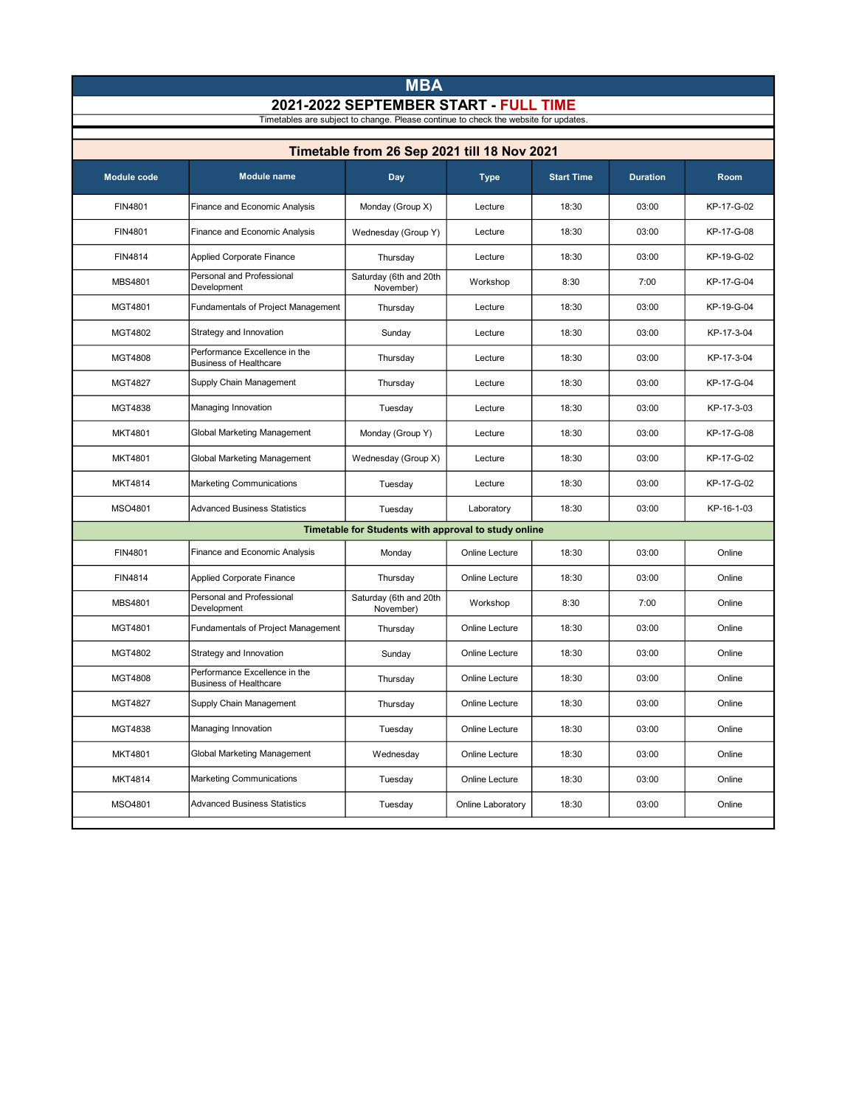|                                                                                     |                                                                |                                                      | <b>MBA</b>        |                   |                 |             |  |  |  |  |
|-------------------------------------------------------------------------------------|----------------------------------------------------------------|------------------------------------------------------|-------------------|-------------------|-----------------|-------------|--|--|--|--|
| 2021-2022 SEPTEMBER START - FULL TIME                                               |                                                                |                                                      |                   |                   |                 |             |  |  |  |  |
| Timetables are subject to change. Please continue to check the website for updates. |                                                                |                                                      |                   |                   |                 |             |  |  |  |  |
|                                                                                     | Timetable from 26 Sep 2021 till 18 Nov 2021                    |                                                      |                   |                   |                 |             |  |  |  |  |
| <b>Module code</b>                                                                  | <b>Module name</b>                                             | Day                                                  | <b>Type</b>       | <b>Start Time</b> | <b>Duration</b> | <b>Room</b> |  |  |  |  |
| FIN4801                                                                             | Finance and Economic Analysis                                  | Monday (Group X)                                     | Lecture           | 18:30             | 03:00           | KP-17-G-02  |  |  |  |  |
| FIN4801                                                                             | Finance and Economic Analysis                                  | Wednesday (Group Y)                                  | Lecture           | 18:30             | 03:00           | KP-17-G-08  |  |  |  |  |
| FIN4814                                                                             | Applied Corporate Finance                                      | Thursday                                             | Lecture           | 18:30             | 03:00           | KP-19-G-02  |  |  |  |  |
| <b>MBS4801</b>                                                                      | Personal and Professional<br>Development                       | Saturday (6th and 20th<br>November)                  | Workshop          | 8:30              | 7:00            | KP-17-G-04  |  |  |  |  |
| MGT4801                                                                             | Fundamentals of Project Management                             | Thursday                                             | Lecture           | 18:30             | 03:00           | KP-19-G-04  |  |  |  |  |
| MGT4802                                                                             | Strategy and Innovation                                        | Sunday                                               | Lecture           | 18:30             | 03:00           | KP-17-3-04  |  |  |  |  |
| <b>MGT4808</b>                                                                      | Performance Excellence in the<br><b>Business of Healthcare</b> | Thursday                                             | Lecture           | 18:30             | 03:00           | KP-17-3-04  |  |  |  |  |
| <b>MGT4827</b>                                                                      | Supply Chain Management                                        | Thursday                                             | Lecture           | 18:30             | 03:00           | KP-17-G-04  |  |  |  |  |
| MGT4838                                                                             | Managing Innovation                                            | Tuesday                                              | Lecture           | 18:30             | 03:00           | KP-17-3-03  |  |  |  |  |
| <b>MKT4801</b>                                                                      | Global Marketing Management                                    | Monday (Group Y)                                     | Lecture           | 18:30             | 03:00           | KP-17-G-08  |  |  |  |  |
| <b>MKT4801</b>                                                                      | Global Marketing Management                                    | Wednesday (Group X)                                  | Lecture           | 18:30             | 03:00           | KP-17-G-02  |  |  |  |  |
| <b>MKT4814</b>                                                                      | <b>Marketing Communications</b>                                | Tuesday                                              | Lecture           | 18:30             | 03:00           | KP-17-G-02  |  |  |  |  |
| MSO4801                                                                             | <b>Advanced Business Statistics</b>                            | Tuesday                                              | Laboratory        | 18:30             | 03:00           | KP-16-1-03  |  |  |  |  |
|                                                                                     |                                                                | Timetable for Students with approval to study online |                   |                   |                 |             |  |  |  |  |
| FIN4801                                                                             | Finance and Economic Analysis                                  | Monday                                               | Online Lecture    | 18:30             | 03:00           | Online      |  |  |  |  |
| FIN4814                                                                             | <b>Applied Corporate Finance</b>                               | Thursday                                             | Online Lecture    | 18:30             | 03:00           | Online      |  |  |  |  |
| <b>MBS4801</b>                                                                      | Personal and Professional<br>Development                       | Saturday (6th and 20th<br>November)                  | Workshop          | 8:30              | 7:00            | Online      |  |  |  |  |
| MGT4801                                                                             | Fundamentals of Project Management                             | Thursday                                             | Online Lecture    | 18:30             | 03:00           | Online      |  |  |  |  |
| MGT4802                                                                             | Strategy and Innovation                                        | Sunday                                               | Online Lecture    | 18:30             | 03:00           | Online      |  |  |  |  |
| <b>MGT4808</b>                                                                      | Performance Excellence in the<br><b>Business of Healthcare</b> | Thursday                                             | Online Lecture    | 18:30             | 03:00           | Online      |  |  |  |  |
| MGT4827                                                                             | Supply Chain Management                                        | Thursday                                             | Online Lecture    | 18:30             | 03:00           | Online      |  |  |  |  |
| MGT4838                                                                             | Managing Innovation                                            | Tuesday                                              | Online Lecture    | 18:30             | 03:00           | Online      |  |  |  |  |
| <b>MKT4801</b>                                                                      | Global Marketing Management                                    | Wednesday                                            | Online Lecture    | 18:30             | 03:00           | Online      |  |  |  |  |
| MKT4814                                                                             | <b>Marketing Communications</b>                                | Tuesday                                              | Online Lecture    | 18:30             | 03:00           | Online      |  |  |  |  |
| MSO4801                                                                             | <b>Advanced Business Statistics</b>                            | Tuesday                                              | Online Laboratory | 18:30             | 03:00           | Online      |  |  |  |  |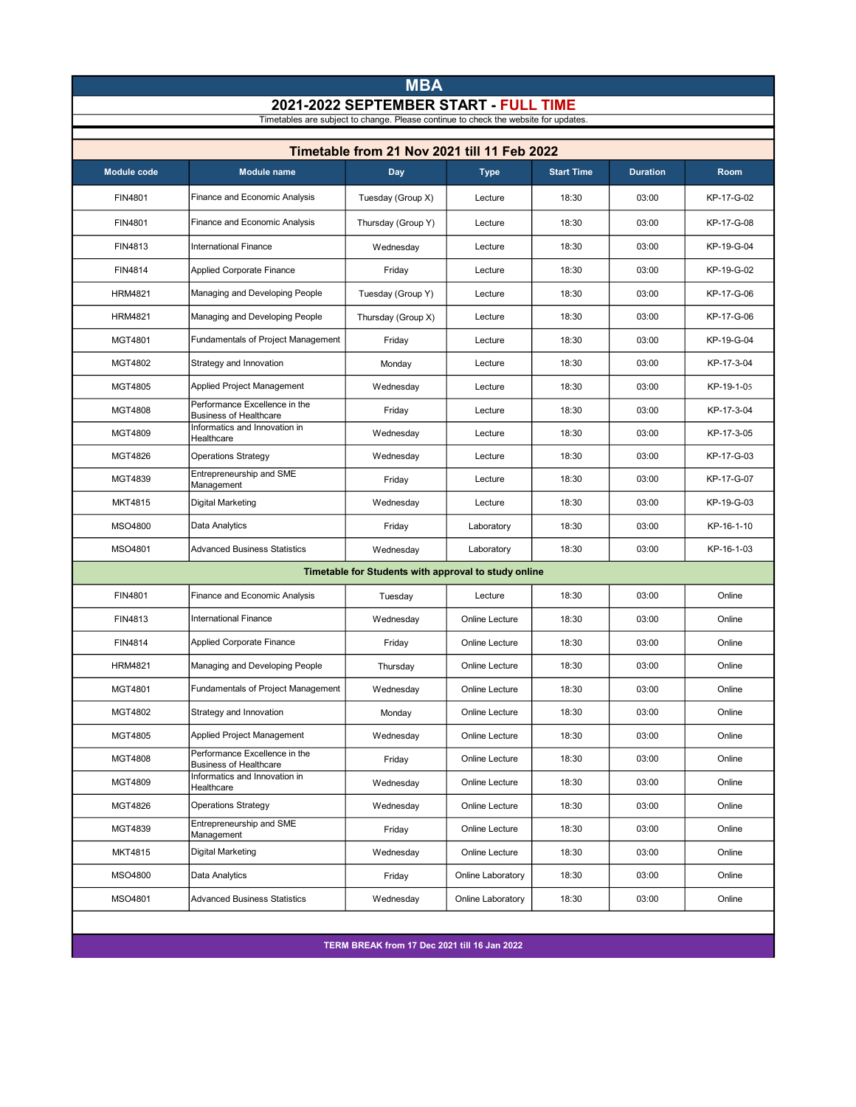|                                                                                                                              | <b>MBA</b>                                                     |                                                      |                   |                   |                 |            |  |  |
|------------------------------------------------------------------------------------------------------------------------------|----------------------------------------------------------------|------------------------------------------------------|-------------------|-------------------|-----------------|------------|--|--|
| 2021-2022 SEPTEMBER START - FULL TIME<br>Timetables are subject to change. Please continue to check the website for updates. |                                                                |                                                      |                   |                   |                 |            |  |  |
|                                                                                                                              |                                                                |                                                      |                   |                   |                 |            |  |  |
| Timetable from 21 Nov 2021 till 11 Feb 2022                                                                                  |                                                                |                                                      |                   |                   |                 |            |  |  |
| <b>Module code</b>                                                                                                           | <b>Module name</b>                                             | Day                                                  | <b>Type</b>       | <b>Start Time</b> | <b>Duration</b> | Room       |  |  |
| FIN4801                                                                                                                      | Finance and Economic Analysis                                  | Tuesday (Group X)                                    | Lecture           | 18:30             | 03:00           | KP-17-G-02 |  |  |
| FIN4801                                                                                                                      | Finance and Economic Analysis                                  | Thursday (Group Y)                                   | Lecture           | 18:30             | 03:00           | KP-17-G-08 |  |  |
| FIN4813                                                                                                                      | <b>International Finance</b>                                   | Wednesday                                            | Lecture           | 18:30             | 03:00           | KP-19-G-04 |  |  |
| FIN4814                                                                                                                      | <b>Applied Corporate Finance</b>                               | Friday                                               | Lecture           | 18:30             | 03:00           | KP-19-G-02 |  |  |
| <b>HRM4821</b>                                                                                                               | Managing and Developing People                                 | Tuesday (Group Y)                                    | Lecture           | 18:30             | 03:00           | KP-17-G-06 |  |  |
| <b>HRM4821</b>                                                                                                               | Managing and Developing People                                 | Thursday (Group X)                                   | Lecture           | 18:30             | 03:00           | KP-17-G-06 |  |  |
| MGT4801                                                                                                                      | Fundamentals of Project Management                             | Friday                                               | Lecture           | 18:30             | 03:00           | KP-19-G-04 |  |  |
| MGT4802                                                                                                                      | Strategy and Innovation                                        | Monday                                               | Lecture           | 18:30             | 03:00           | KP-17-3-04 |  |  |
| MGT4805                                                                                                                      | Applied Project Management                                     | Wednesday                                            | Lecture           | 18:30             | 03:00           | KP-19-1-05 |  |  |
| <b>MGT4808</b>                                                                                                               | Performance Excellence in the<br><b>Business of Healthcare</b> | Friday                                               | Lecture           | 18:30             | 03:00           | KP-17-3-04 |  |  |
| MGT4809                                                                                                                      | Informatics and Innovation in<br>Healthcare                    | Wednesday                                            | Lecture           | 18:30             | 03:00           | KP-17-3-05 |  |  |
| MGT4826                                                                                                                      | <b>Operations Strategy</b>                                     | Wednesday                                            | Lecture           | 18:30             | 03:00           | KP-17-G-03 |  |  |
| MGT4839                                                                                                                      | Entrepreneurship and SME<br>Management                         | Friday                                               | Lecture           | 18:30             | 03:00           | KP-17-G-07 |  |  |
| MKT4815                                                                                                                      | <b>Digital Marketing</b>                                       | Wednesday                                            | Lecture           | 18:30             | 03:00           | KP-19-G-03 |  |  |
| MSO4800                                                                                                                      | Data Analytics                                                 | Friday                                               | Laboratory        | 18:30             | 03:00           | KP-16-1-10 |  |  |
| MSO4801                                                                                                                      | <b>Advanced Business Statistics</b>                            | Wednesday                                            | Laboratory        | 18:30             | 03:00           | KP-16-1-03 |  |  |
|                                                                                                                              |                                                                | Timetable for Students with approval to study online |                   |                   |                 |            |  |  |
| FIN4801                                                                                                                      | Finance and Economic Analysis                                  | Tuesday                                              | Lecture           | 18:30             | 03:00           | Online     |  |  |
| FIN4813                                                                                                                      | <b>International Finance</b>                                   | Wednesday                                            | Online Lecture    | 18:30             | 03:00           | Online     |  |  |
| FIN4814                                                                                                                      | <b>Applied Corporate Finance</b>                               | Friday                                               | Online Lecture    | 18:30             | 03:00           | Online     |  |  |
| <b>HRM4821</b>                                                                                                               | Managing and Developing People                                 | Thursday                                             | Online Lecture    | 18:30             | 03:00           | Online     |  |  |
| MGT4801                                                                                                                      | Fundamentals of Project Management                             | Wednesday                                            | Online Lecture    | 18:30             | 03:00           | Online     |  |  |
| MGT4802                                                                                                                      | Strategy and Innovation                                        | Monday                                               | Online Lecture    | 18:30             | 03:00           | Online     |  |  |
| MGT4805                                                                                                                      | <b>Applied Project Management</b>                              | Wednesday                                            | Online Lecture    | 18:30             | 03:00           | Online     |  |  |
| MGT4808                                                                                                                      | Performance Excellence in the<br><b>Business of Healthcare</b> | Friday                                               | Online Lecture    | 18:30             | 03:00           | Online     |  |  |
| MGT4809                                                                                                                      | Informatics and Innovation in<br>Healthcare                    | Wednesday                                            | Online Lecture    | 18:30             | 03:00           | Online     |  |  |
| MGT4826                                                                                                                      | <b>Operations Strategy</b>                                     | Wednesday                                            | Online Lecture    | 18:30             | 03:00           | Online     |  |  |
| MGT4839                                                                                                                      | Entrepreneurship and SME<br>Management                         | Friday                                               | Online Lecture    | 18:30             | 03:00           | Online     |  |  |
| MKT4815                                                                                                                      | <b>Digital Marketing</b>                                       | Wednesday                                            | Online Lecture    | 18:30             | 03:00           | Online     |  |  |
| MSO4800                                                                                                                      | Data Analytics                                                 | Friday                                               | Online Laboratory | 18:30             | 03:00           | Online     |  |  |
| MSO4801                                                                                                                      | <b>Advanced Business Statistics</b>                            | Wednesday                                            | Online Laboratory | 18:30             | 03:00           | Online     |  |  |
|                                                                                                                              |                                                                |                                                      |                   |                   |                 |            |  |  |

TERM BREAK from 17 Dec 2021 till 16 Jan 2022